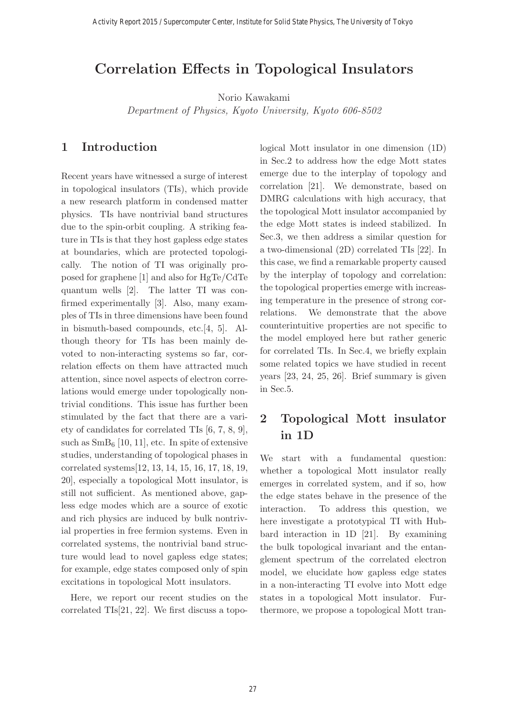# **Correlation Effects in Topological Insulators**

Norio Kawakami

Department of Physics, Kyoto University, Kyoto 606-8502

### **1 Introduction**

Recent years have witnessed a surge of interest in topological insulators (TIs), which provide a new research platform in condensed matter physics. TIs have nontrivial band structures due to the spin-orbit coupling. A striking feature in TIs is that they host gapless edge states at boundaries, which are protected topologically. The notion of TI was originally proposed for graphene [1] and also for HgTe/CdTe quantum wells [2]. The latter TI was confirmed experimentally [3]. Also, many examples of TIs in three dimensions have been found in bismuth-based compounds, etc.[4, 5]. Although theory for TIs has been mainly devoted to non-interacting systems so far, correlation effects on them have attracted much attention, since novel aspects of electron correlations would emerge under topologically nontrivial conditions. This issue has further been stimulated by the fact that there are a variety of candidates for correlated TIs [6, 7, 8, 9], such as  $SmB_6$  [10, 11], etc. In spite of extensive studies, understanding of topological phases in correlated systems[12, 13, 14, 15, 16, 17, 18, 19, 20], especially a topological Mott insulator, is still not sufficient. As mentioned above, gapless edge modes which are a source of exotic and rich physics are induced by bulk nontrivial properties in free fermion systems. Even in correlated systems, the nontrivial band structure would lead to novel gapless edge states; for example, edge states composed only of spin excitations in topological Mott insulators.

Here, we report our recent studies on the correlated TIs[21, 22]. We first discuss a topological Mott insulator in one dimension (1D) in Sec.2 to address how the edge Mott states emerge due to the interplay of topology and correlation [21]. We demonstrate, based on DMRG calculations with high accuracy, that the topological Mott insulator accompanied by the edge Mott states is indeed stabilized. In Sec.3, we then address a similar question for a two-dimensional (2D) correlated TIs [22]. In this case, we find a remarkable property caused by the interplay of topology and correlation: the topological properties emerge with increasing temperature in the presence of strong correlations. We demonstrate that the above counterintuitive properties are not specific to the model employed here but rather generic for correlated TIs. In Sec.4, we briefly explain some related topics we have studied in recent years [23, 24, 25, 26]. Brief summary is given in Sec.5.

# **2 Topological Mott insulator in 1D**

We start with a fundamental question: whether a topological Mott insulator really emerges in correlated system, and if so, how the edge states behave in the presence of the interaction. To address this question, we here investigate a prototypical TI with Hubbard interaction in 1D [21]. By examining the bulk topological invariant and the entanglement spectrum of the correlated electron model, we elucidate how gapless edge states in a non-interacting TI evolve into Mott edge states in a topological Mott insulator. Furthermore, we propose a topological Mott tran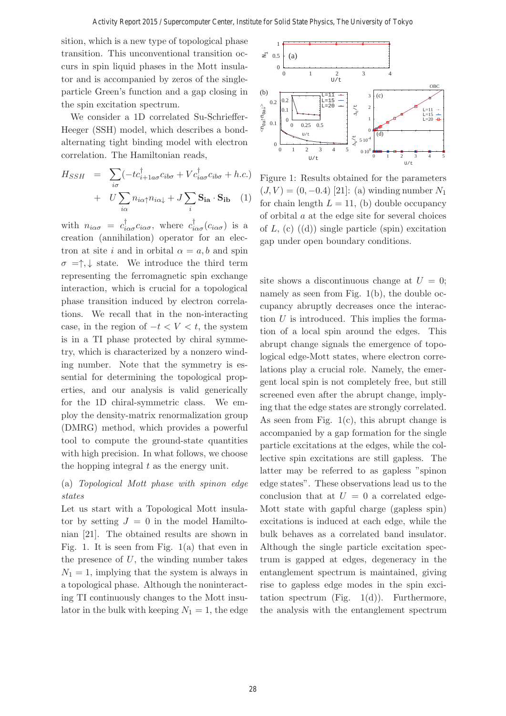sition, which is a new type of topological phase transition. This unconventional transition occurs in spin liquid phases in the Mott insulator and is accompanied by zeros of the singleparticle Green's function and a gap closing in the spin excitation spectrum.

We consider a 1D correlated Su-Schrieffer-Heeger (SSH) model, which describes a bondalternating tight binding model with electron correlation. The Hamiltonian reads,

$$
H_{SSH} = \sum_{i\sigma} (-tc_{i+1a\sigma}^{\dagger} c_{ib\sigma} + Vc_{ia\sigma}^{\dagger} c_{ib\sigma} + h.c.)
$$

$$
+ U \sum_{i\alpha} n_{i\alpha\uparrow} n_{i\alpha\downarrow} + J \sum_{i} \mathbf{S}_{i\mathbf{a}} \cdot \mathbf{S}_{i\mathbf{b}} \quad (1)
$$

with  $n_{i\alpha\sigma} = c_{i\alpha\sigma}^{\dagger} c_{i\alpha\sigma}$ , where  $c_{i\alpha\sigma}^{\dagger} (c_{i\alpha\sigma})$  is a creation (annihilation) operator for an electron at site i and in orbital  $\alpha = a, b$  and spin  $\sigma = \uparrow, \downarrow$  state. We introduce the third term representing the ferromagnetic spin exchange interaction, which is crucial for a topological phase transition induced by electron correlations. We recall that in the non-interacting case, in the region of  $-t < V < t$ , the system is in a TI phase protected by chiral symmetry, which is characterized by a nonzero winding number. Note that the symmetry is essential for determining the topological properties, and our analysis is valid generically for the 1D chiral-symmetric class. We employ the density-matrix renormalization group (DMRG) method, which provides a powerful tool to compute the ground-state quantities with high precision. In what follows, we choose the hopping integral  $t$  as the energy unit.

### (a) Topological Mott phase with spinon edge states

Let us start with a Topological Mott insulator by setting  $J = 0$  in the model Hamiltonian [21]. The obtained results are shown in Fig. 1. It is seen from Fig.  $1(a)$  that even in the presence of  $U$ , the winding number takes  $N_1 = 1$ , implying that the system is always in a topological phase. Although the noninteracting TI continuously changes to the Mott insulator in the bulk with keeping  $N_1 = 1$ , the edge



Figure 1: Results obtained for the parameters  $(J, V) = (0, -0.4)$  [21]: (a) winding number  $N_1$ for chain length  $L = 11$ , (b) double occupancy of orbital  $a$  at the edge site for several choices of  $L$ , (c) ((d)) single particle (spin) excitation gap under open boundary conditions.

site shows a discontinuous change at  $U = 0$ ; namely as seen from Fig. 1(b), the double occupancy abruptly decreases once the interaction  $U$  is introduced. This implies the formation of a local spin around the edges. This abrupt change signals the emergence of topological edge-Mott states, where electron correlations play a crucial role. Namely, the emergent local spin is not completely free, but still screened even after the abrupt change, implying that the edge states are strongly correlated. As seen from Fig.  $1(c)$ , this abrupt change is accompanied by a gap formation for the single particle excitations at the edges, while the collective spin excitations are still gapless. The latter may be referred to as gapless "spinon edge states". These observations lead us to the conclusion that at  $U = 0$  a correlated edge-Mott state with gapful charge (gapless spin) excitations is induced at each edge, while the bulk behaves as a correlated band insulator. Although the single particle excitation spectrum is gapped at edges, degeneracy in the entanglement spectrum is maintained, giving rise to gapless edge modes in the spin excitation spectrum (Fig.  $1(d)$ ). Furthermore, the analysis with the entanglement spectrum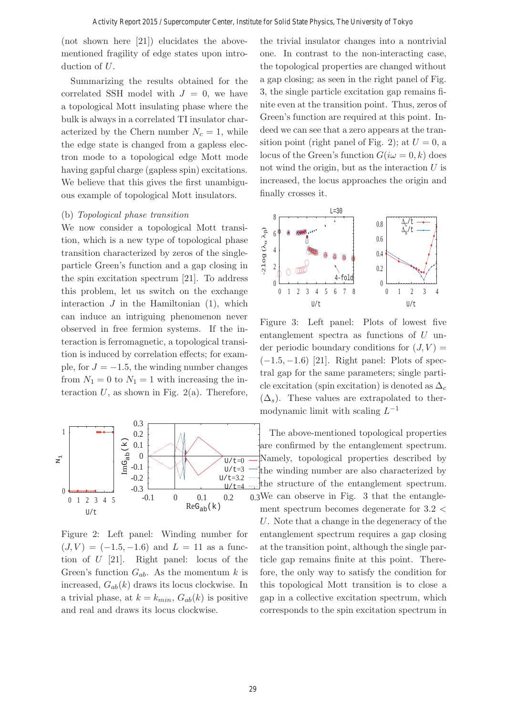(not shown here [21]) elucidates the abovementioned fragility of edge states upon introduction of U.

Summarizing the results obtained for the correlated SSH model with  $J = 0$ , we have a topological Mott insulating phase where the bulk is always in a correlated TI insulator characterized by the Chern number  $N_c = 1$ , while the edge state is changed from a gapless electron mode to a topological edge Mott mode having gapful charge (gapless spin) excitations. We believe that this gives the first unambiguous example of topological Mott insulators.

#### (b) Topological phase transition

We now consider a topological Mott transition, which is a new type of topological phase transition characterized by zeros of the singleparticle Green's function and a gap closing in the spin excitation spectrum [21]. To address this problem, let us switch on the exchange interaction  $J$  in the Hamiltonian  $(1)$ , which can induce an intriguing phenomenon never observed in free fermion systems. If the interaction is ferromagnetic, a topological transition is induced by correlation effects; for example, for  $J = -1.5$ , the winding number changes from  $N_1 = 0$  to  $N_1 = 1$  with increasing the interaction  $U$ , as shown in Fig. 2(a). Therefore,



Figure 2: Left panel: Winding number for  $(J, V) = (-1.5, -1.6)$  and  $L = 11$  as a function of U [21]. Right panel: locus of the Green's function  $G_{ab}$ . As the momentum k is increased,  $G_{ab}(k)$  draws its locus clockwise. In a trivial phase, at  $k = k_{min}$ ,  $G_{ab}(k)$  is positive and real and draws its locus clockwise.

the trivial insulator changes into a nontrivial one. In contrast to the non-interacting case, the topological properties are changed without a gap closing; as seen in the right panel of Fig. 3, the single particle excitation gap remains finite even at the transition point. Thus, zeros of Green's function are required at this point. Indeed we can see that a zero appears at the transition point (right panel of Fig. 2); at  $U = 0$ , a locus of the Green's function  $G(i\omega = 0, k)$  does not wind the origin, but as the interaction  $U$  is increased, the locus approaches the origin and finally crosses it.



Figure 3: Left panel: Plots of lowest five entanglement spectra as functions of U under periodic boundary conditions for  $(J, V)$  =  $(-1.5, -1.6)$  [21]. Right panel: Plots of spectral gap for the same parameters; single particle excitation (spin excitation) is denoted as  $\Delta_c$  $(\Delta_{s})$ . These values are extrapolated to thermodynamic limit with scaling  $L^{-1}$ 

The above-mentioned topological properties are confirmed by the entanglement spectrum. Namely, topological properties described by the winding number are also characterized by the structure of the entanglement spectrum.  $0.3$ We can observe in Fig. 3 that the entanglement spectrum becomes degenerate for 3.2 < U. Note that a change in the degeneracy of the entanglement spectrum requires a gap closing at the transition point, although the single particle gap remains finite at this point. Therefore, the only way to satisfy the condition for this topological Mott transition is to close a gap in a collective excitation spectrum, which corresponds to the spin excitation spectrum in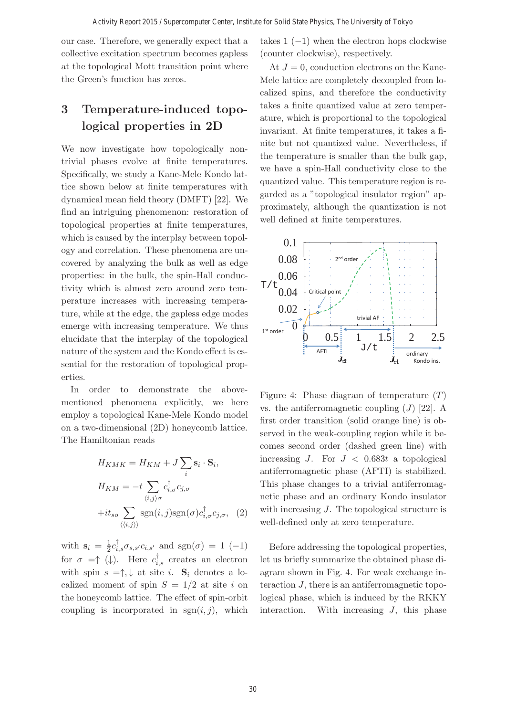our case. Therefore, we generally expect that a collective excitation spectrum becomes gapless at the topological Mott transition point where the Green's function has zeros.

# **3 Temperature-induced topological properties in 2D**

We now investigate how topologically nontrivial phases evolve at finite temperatures. Specifically, we study a Kane-Mele Kondo lattice shown below at finite temperatures with dynamical mean field theory (DMFT) [22]. We find an intriguing phenomenon: restoration of topological properties at finite temperatures, which is caused by the interplay between topology and correlation. These phenomena are uncovered by analyzing the bulk as well as edge properties: in the bulk, the spin-Hall conductivity which is almost zero around zero temperature increases with increasing temperature, while at the edge, the gapless edge modes emerge with increasing temperature. We thus elucidate that the interplay of the topological nature of the system and the Kondo effect is essential for the restoration of topological properties.

In order to demonstrate the abovementioned phenomena explicitly, we here employ a topological Kane-Mele Kondo model on a two-dimensional (2D) honeycomb lattice. The Hamiltonian reads

$$
H_{KMK} = H_{KM} + J \sum_{i} \mathbf{s}_i \cdot \mathbf{S}_i,
$$
  
\n
$$
H_{KM} = -t \sum_{\langle i,j \rangle \sigma} c_{i,\sigma}^{\dagger} c_{j,\sigma}
$$
  
\n
$$
+ it_{so} \sum_{\langle \langle i,j \rangle \rangle} \text{sgn}(i,j) \text{sgn}(\sigma) c_{i,\sigma}^{\dagger} c_{j,\sigma}, \quad (2)
$$

with  $\mathbf{s}_i = \frac{1}{2} c_{i,s}^{\dagger} \sigma_{s,s'} c_{i,s'}$  and  $sgn(\sigma) = 1$  (-1) for  $\sigma = \uparrow (\downarrow)$ . Here  $c_{i,s}^{\dagger}$  creates an electron with spin  $s = \uparrow, \downarrow$  at site *i*.  $S_i$  denotes a localized moment of spin  $S = 1/2$  at site i on the honeycomb lattice. The effect of spin-orbit coupling is incorporated in  $sgn(i, j)$ , which takes  $1(-1)$  when the electron hops clockwise (counter clockwise), respectively.

At  $J = 0$ , conduction electrons on the Kane-Mele lattice are completely decoupled from localized spins, and therefore the conductivity takes a finite quantized value at zero temperature, which is proportional to the topological invariant. At finite temperatures, it takes a finite but not quantized value. Nevertheless, if the temperature is smaller than the bulk gap, we have a spin-Hall conductivity close to the quantized value. This temperature region is regarded as a "topological insulator region" approximately, although the quantization is not well defined at finite temperatures.



Figure 4: Phase diagram of temperature  $(T)$ vs. the antiferromagnetic coupling  $(J)$  [22]. A first order transition (solid orange line) is observed in the weak-coupling region while it becomes second order (dashed green line) with increasing J. For  $J < 0.683t$  a topological antiferromagnetic phase (AFTI) is stabilized. This phase changes to a trivial antiferromagnetic phase and an ordinary Kondo insulator with increasing J. The topological structure is well-defined only at zero temperature.

Before addressing the topological properties, let us briefly summarize the obtained phase diagram shown in Fig. 4. For weak exchange interaction  $J$ , there is an antiferromagnetic topological phase, which is induced by the RKKY interaction. With increasing J, this phase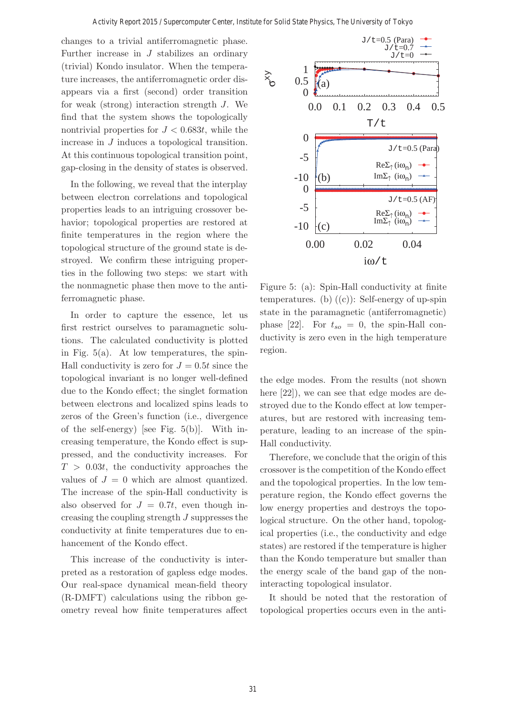changes to a trivial antiferromagnetic phase. Further increase in  $J$  stabilizes an ordinary (trivial) Kondo insulator. When the temperature increases, the antiferromagnetic order disappears via a first (second) order transition for weak (strong) interaction strength J. We find that the system shows the topologically nontrivial properties for  $J < 0.683t$ , while the increase in J induces a topological transition. At this continuous topological transition point, gap-closing in the density of states is observed.

In the following, we reveal that the interplay between electron correlations and topological properties leads to an intriguing crossover behavior; topological properties are restored at finite temperatures in the region where the topological structure of the ground state is destroyed. We confirm these intriguing properties in the following two steps: we start with the nonmagnetic phase then move to the antiferromagnetic phase.

In order to capture the essence, let us first restrict ourselves to paramagnetic solutions. The calculated conductivity is plotted in Fig.  $5(a)$ . At low temperatures, the spin-Hall conductivity is zero for  $J = 0.5t$  since the topological invariant is no longer well-defined due to the Kondo effect; the singlet formation between electrons and localized spins leads to zeros of the Green's function (i.e., divergence of the self-energy) [see Fig. 5(b)]. With increasing temperature, the Kondo effect is suppressed, and the conductivity increases. For  $T > 0.03t$ , the conductivity approaches the values of  $J = 0$  which are almost quantized. The increase of the spin-Hall conductivity is also observed for  $J = 0.7t$ , even though increasing the coupling strength J suppresses the conductivity at finite temperatures due to enhancement of the Kondo effect.

This increase of the conductivity is interpreted as a restoration of gapless edge modes. Our real-space dynamical mean-field theory (R-DMFT) calculations using the ribbon geometry reveal how finite temperatures affect



Figure 5: (a): Spin-Hall conductivity at finite temperatures. (b)  $((c))$ : Self-energy of up-spin state in the paramagnetic (antiferromagnetic) phase [22]. For  $t_{so} = 0$ , the spin-Hall conductivity is zero even in the high temperature region.

the edge modes. From the results (not shown here  $[22]$ , we can see that edge modes are destroyed due to the Kondo effect at low temperatures, but are restored with increasing temperature, leading to an increase of the spin-Hall conductivity.

Therefore, we conclude that the origin of this crossover is the competition of the Kondo effect and the topological properties. In the low temperature region, the Kondo effect governs the low energy properties and destroys the topological structure. On the other hand, topological properties (i.e., the conductivity and edge states) are restored if the temperature is higher than the Kondo temperature but smaller than the energy scale of the band gap of the noninteracting topological insulator.

It should be noted that the restoration of topological properties occurs even in the anti-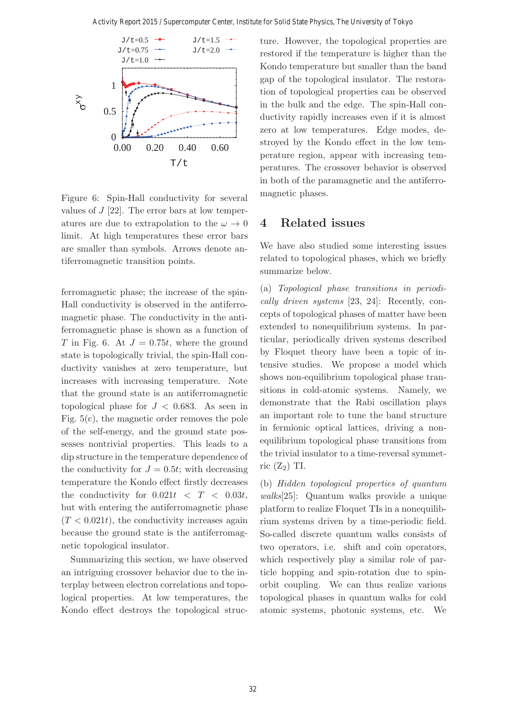

Figure 6: Spin-Hall conductivity for several values of  $J$  [22]. The error bars at low temperatures are due to extrapolation to the  $\omega \to 0$ limit. At high temperatures these error bars are smaller than symbols. Arrows denote antiferromagnetic transition points.

ferromagnetic phase; the increase of the spin-Hall conductivity is observed in the antiferromagnetic phase. The conductivity in the antiferromagnetic phase is shown as a function of T in Fig. 6. At  $J = 0.75t$ , where the ground state is topologically trivial, the spin-Hall conductivity vanishes at zero temperature, but increases with increasing temperature. Note that the ground state is an antiferromagnetic topological phase for  $J < 0.683$ . As seen in Fig. 5(c), the magnetic order removes the pole of the self-energy, and the ground state possesses nontrivial properties. This leads to a dip structure in the temperature dependence of the conductivity for  $J = 0.5t$ ; with decreasing temperature the Kondo effect firstly decreases the conductivity for  $0.021t < T < 0.03t$ , but with entering the antiferromagnetic phase  $(T < 0.021t)$ , the conductivity increases again because the ground state is the antiferromagnetic topological insulator.

Summarizing this section, we have observed an intriguing crossover behavior due to the interplay between electron correlations and topological properties. At low temperatures, the Kondo effect destroys the topological structure. However, the topological properties are restored if the temperature is higher than the Kondo temperature but smaller than the band gap of the topological insulator. The restoration of topological properties can be observed in the bulk and the edge. The spin-Hall conductivity rapidly increases even if it is almost zero at low temperatures. Edge modes, destroyed by the Kondo effect in the low temperature region, appear with increasing temperatures. The crossover behavior is observed in both of the paramagnetic and the antiferromagnetic phases.

#### **4 Related issues**

We have also studied some interesting issues related to topological phases, which we briefly summarize below.

(a) Topological phase transitions in periodically driven systems [23, 24]: Recently, concepts of topological phases of matter have been extended to nonequilibrium systems. In particular, periodically driven systems described by Floquet theory have been a topic of intensive studies. We propose a model which shows non-equilibrium topological phase transitions in cold-atomic systems. Namely, we demonstrate that the Rabi oscillation plays an important role to tune the band structure in fermionic optical lattices, driving a nonequilibrium topological phase transitions from the trivial insulator to a time-reversal symmetric  $(Z_2)$  TI.

(b) Hidden topological properties of quantum walks[25]: Quantum walks provide a unique platform to realize Floquet TIs in a nonequilibrium systems driven by a time-periodic field. So-called discrete quantum walks consists of two operators, i.e. shift and coin operators, which respectively play a similar role of particle hopping and spin-rotation due to spinorbit coupling. We can thus realize various topological phases in quantum walks for cold atomic systems, photonic systems, etc. We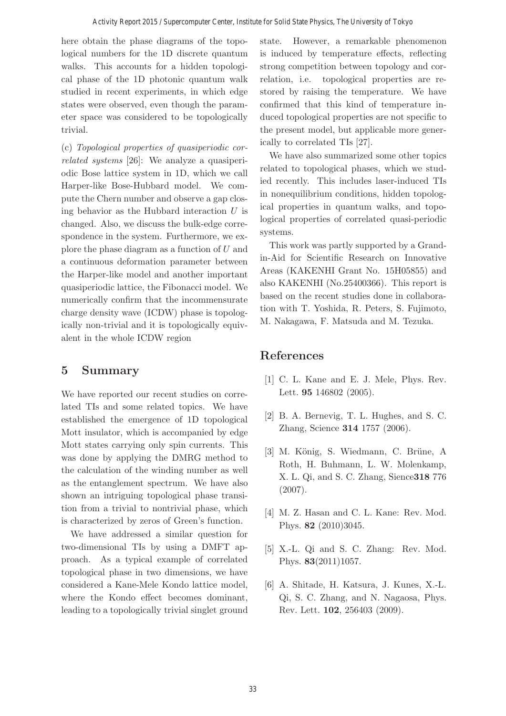here obtain the phase diagrams of the topological numbers for the 1D discrete quantum walks. This accounts for a hidden topological phase of the 1D photonic quantum walk studied in recent experiments, in which edge states were observed, even though the parameter space was considered to be topologically trivial.

(c) Topological properties of quasiperiodic correlated systems [26]: We analyze a quasiperiodic Bose lattice system in 1D, which we call Harper-like Bose-Hubbard model. We compute the Chern number and observe a gap closing behavior as the Hubbard interaction  $U$  is changed. Also, we discuss the bulk-edge correspondence in the system. Furthermore, we explore the phase diagram as a function of U and a continuous deformation parameter between the Harper-like model and another important quasiperiodic lattice, the Fibonacci model. We numerically confirm that the incommensurate charge density wave (ICDW) phase is topologically non-trivial and it is topologically equivalent in the whole ICDW region

## **5 Summary**

We have reported our recent studies on correlated TIs and some related topics. We have established the emergence of 1D topological Mott insulator, which is accompanied by edge Mott states carrying only spin currents. This was done by applying the DMRG method to the calculation of the winding number as well as the entanglement spectrum. We have also shown an intriguing topological phase transition from a trivial to nontrivial phase, which is characterized by zeros of Green's function.

We have addressed a similar question for two-dimensional TIs by using a DMFT approach. As a typical example of correlated topological phase in two dimensions, we have considered a Kane-Mele Kondo lattice model, where the Kondo effect becomes dominant, leading to a topologically trivial singlet ground state. However, a remarkable phenomenon is induced by temperature effects, reflecting strong competition between topology and correlation, i.e. topological properties are restored by raising the temperature. We have confirmed that this kind of temperature induced topological properties are not specific to the present model, but applicable more generically to correlated TIs [27].

We have also summarized some other topics related to topological phases, which we studied recently. This includes laser-induced TIs in nonequilibrium conditions, hidden topological properties in quantum walks, and topological properties of correlated quasi-periodic systems.

This work was partly supported by a Grandin-Aid for Scientific Research on Innovative Areas (KAKENHI Grant No. 15H05855) and also KAKENHI (No.25400366). This report is based on the recent studies done in collaboration with T. Yoshida, R. Peters, S. Fujimoto, M. Nakagawa, F. Matsuda and M. Tezuka.

## **References**

- [1] C. L. Kane and E. J. Mele, Phys. Rev. Lett. **95** 146802 (2005).
- [2] B. A. Bernevig, T. L. Hughes, and S. C. Zhang, Science **314** 1757 (2006).
- [3] M. König, S. Wiedmann, C. Brüne, A. Roth, H. Buhmann, L. W. Molenkamp, X. L. Qi, and S. C. Zhang, Sience**318** 776 (2007).
- [4] M. Z. Hasan and C. L. Kane: Rev. Mod. Phys. **82** (2010)3045.
- [5] X.-L. Qi and S. C. Zhang: Rev. Mod. Phys. **83**(2011)1057.
- [6] A. Shitade, H. Katsura, J. Kunes, X.-L. Qi, S. C. Zhang, and N. Nagaosa, Phys. Rev. Lett. **102**, 256403 (2009).